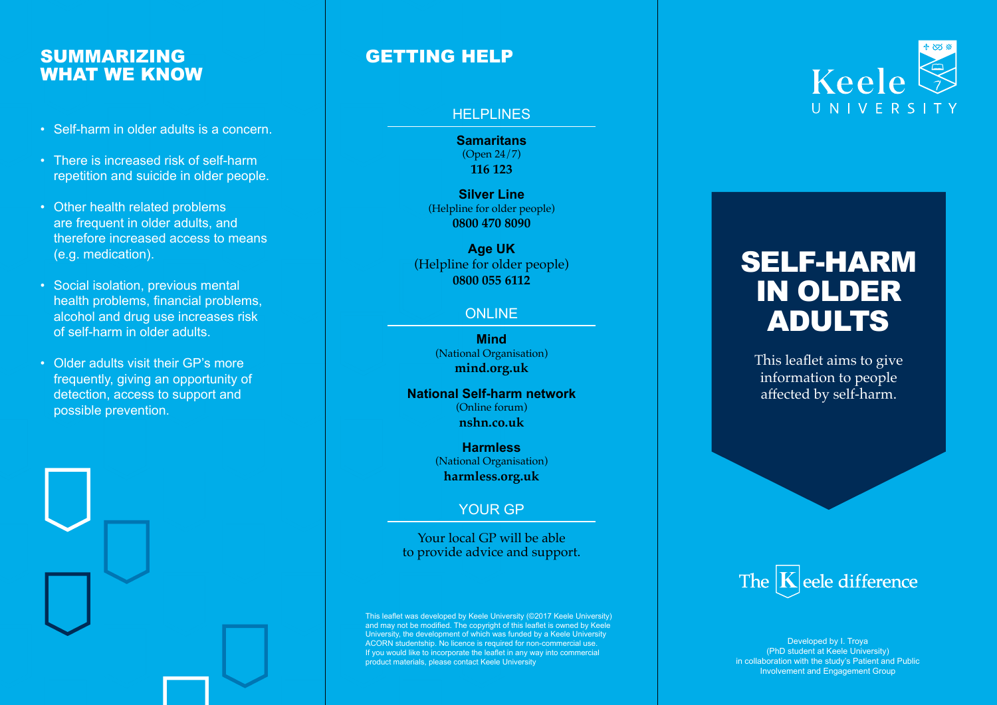# SUMMARIZING WHAT WE KNOW

- Self-harm in older adults is a concern.
- There is increased risk of self-harm repetition and suicide in older people.
- Other health related problems are frequent in older adults, and therefore increased access to means (e.g. medication).
- Social isolation, previous mental health problems, financial problems, alcohol and drug use increases risk of self-harm in older adults.
- Older adults visit their GP's more frequently, giving an opportunity of detection, access to support and possible prevention.



# GETTING HELP

#### **HELPLINES**

**Samaritans** (Open 24/7) **116 123**

**Silver Line** (Helpline for older people) **0800 470 8090**

**Age UK** (Helpline for older people) **0800 055 6112**

### **ONLINE**

**Mind**  (National Organisation) **mind.org.uk**

#### **National Self-harm network** (Online forum) **nshn.co.uk**

**Harmless** (National Organisation) **harmless.org.uk**

## YOUR GP

Your local GP will be able to provide advice and support.

This leaflet was developed by Keele University (©2017 Keele University)<br>and may not be modified. The copyright of this leaflet is owned by Keele<br>University, the development of which was funded by a Keele University<br>ACORN s product materials, please contact Keele University



# SELF-HARM IN OLDER ADULTS

This leaflet aims to give information to people affected by self-harm.



Developed by I. Troya (PhD student at Keele University) in collaboration with the study's Patient and Public Involvement and Engagement Group